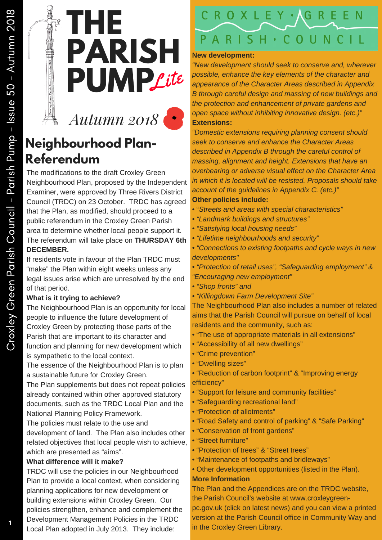

*Autumn 2018*

# **Neighbourhood Plan-Referendum**

The modifications to the draft Croxley Green Neighbourhood Plan, proposed by the Independent Examiner, were approved by Three Rivers District Council (TRDC) on 23 October. TRDC has agreed that the Plan, as modified, should proceed to a public referendum in the Croxley Green Parish area to determine whether local people support it. The referendum will take place on **THURSDAY 6th DECEMBER.**

If residents vote in favour of the Plan TRDC must "make" the Plan within eight weeks unless any legal issues arise which are unresolved by the end of that period.

#### **What is it trying to achieve?**

The Neighbourhood Plan is an opportunity for local people to influence the future development of Croxley Green by protecting those parts of the Parish that are important to its character and function and planning for new development which is sympathetic to the local context.

The essence of the Neighbourhood Plan is to plan a sustainable future for Croxley Green.

The Plan supplements but does not repeat policies already contained within other approved statutory documents, such as the TRDC Local Plan and the National Planning Policy Framework.

The policies must relate to the use and

development of land. The Plan also includes other related objectives that local people wish to achieve, which are presented as "aims".

#### **What difference will it make?**

TRDC will use the policies in our Neighbourhood Plan to provide a local context, when considering planning applications for new development or building extensions within Croxley Green. Our policies strengthen, enhance and complement the Development Management Policies in the TRDC Local Plan adopted in July 2013. They include:

### ROXLEY ·  $H \cdot C O U N C I$  $\varsigma$

#### **New development:**

*"New development should seek to conserve and, wherever possible, enhance the key elements of the character and appearance of the Character Areas described in Appendix B through careful design and massing of new buildings and the protection and enhancement of private gardens and open space without inhibiting innovative design. (etc.)"* **Extensions:**

*"Domestic extensions requiring planning consent should seek to conserve and enhance the Character Areas described in Appendix B through the careful control of massing, alignment and height. Extensions that have an overbearing or adverse visual effect on the Character Area in which it is located will be resisted. Proposals should take account of the guidelines in Appendix C. (etc.)"* **Other policies include:**

- "*Streets and areas with special characteristics"*
- *• "Landmark buildings and structures"*
- *• "Satisfying local housing needs"*
- *• "Lifetime neighbourhoods and security"*
- *• "Connections to existing footpaths and cycle ways in new developments"*

*• "Protection of retail uses", "Safeguarding employment" & "Encouraging new employment"*

- *• "Shop fronts" and*
- *• "Killingdown Farm Development Site"*

The Neighbourhood Plan also includes a number of related aims that the Parish Council will pursue on behalf of local residents and the community, such as:

- "The use of appropriate materials in all extensions"
- "Accessibility of all new dwellings"
- "Crime prevention"
- "Dwelling sizes"
- "Reduction of carbon footprint" & "Improving energy efficiency"
- "Support for leisure and community facilities"
- "Safeguarding recreational land"
- "Protection of allotments"
- "Road Safety and control of parking" & "Safe Parking"
- "Conservation of front gardens"
- "Street furniture"
- "Protection of trees" & "Street trees"
- "Maintenance of footpaths and bridleways"
- Other development opportunities (listed in the Plan).

### **More Information**

The Plan and the Appendices are on the TRDC website, the Parish Council's website at www.croxleygreen-

pc.gov.uk (click on latest news) and you can view a printed version at the Parish Council office in Community Way and in the Croxley Green Library.